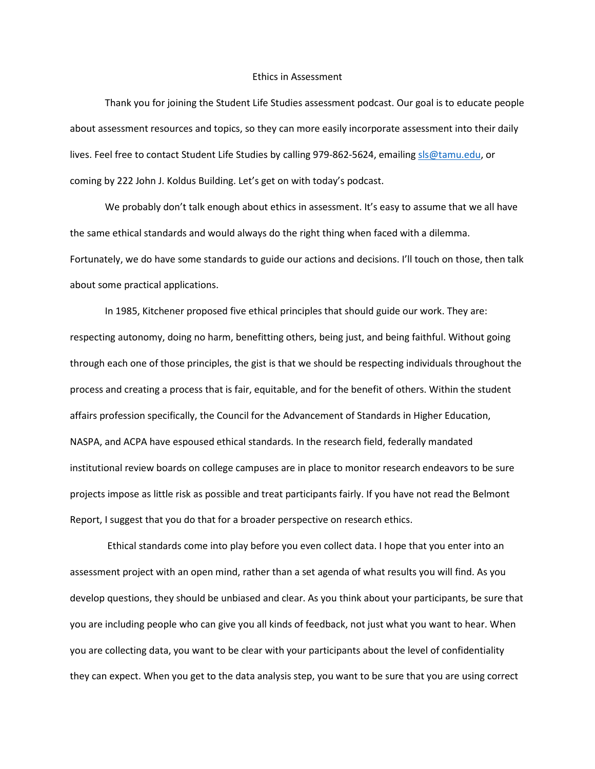## Ethics in Assessment

Thank you for joining the Student Life Studies assessment podcast. Our goal is to educate people about assessment resources and topics, so they can more easily incorporate assessment into their daily lives. Feel free to contact Student Life Studies by calling 979-862-5624, emailin[g sls@tamu.edu,](mailto:sls@tamu.edu) or coming by 222 John J. Koldus Building. Let's get on with today's podcast.

We probably don't talk enough about ethics in assessment. It's easy to assume that we all have the same ethical standards and would always do the right thing when faced with a dilemma. Fortunately, we do have some standards to guide our actions and decisions. I'll touch on those, then talk about some practical applications.

In 1985, Kitchener proposed five ethical principles that should guide our work. They are: respecting autonomy, doing no harm, benefitting others, being just, and being faithful. Without going through each one of those principles, the gist is that we should be respecting individuals throughout the process and creating a process that is fair, equitable, and for the benefit of others. Within the student affairs profession specifically, the Council for the Advancement of Standards in Higher Education, NASPA, and ACPA have espoused ethical standards. In the research field, federally mandated institutional review boards on college campuses are in place to monitor research endeavors to be sure projects impose as little risk as possible and treat participants fairly. If you have not read the Belmont Report, I suggest that you do that for a broader perspective on research ethics.

Ethical standards come into play before you even collect data. I hope that you enter into an assessment project with an open mind, rather than a set agenda of what results you will find. As you develop questions, they should be unbiased and clear. As you think about your participants, be sure that you are including people who can give you all kinds of feedback, not just what you want to hear. When you are collecting data, you want to be clear with your participants about the level of confidentiality they can expect. When you get to the data analysis step, you want to be sure that you are using correct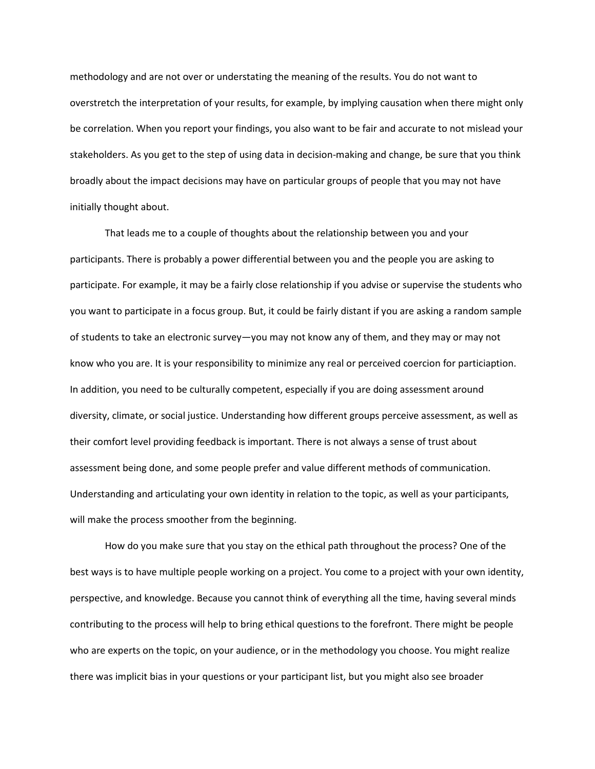methodology and are not over or understating the meaning of the results. You do not want to overstretch the interpretation of your results, for example, by implying causation when there might only be correlation. When you report your findings, you also want to be fair and accurate to not mislead your stakeholders. As you get to the step of using data in decision-making and change, be sure that you think broadly about the impact decisions may have on particular groups of people that you may not have initially thought about.

That leads me to a couple of thoughts about the relationship between you and your participants. There is probably a power differential between you and the people you are asking to participate. For example, it may be a fairly close relationship if you advise or supervise the students who you want to participate in a focus group. But, it could be fairly distant if you are asking a random sample of students to take an electronic survey—you may not know any of them, and they may or may not know who you are. It is your responsibility to minimize any real or perceived coercion for particiaption. In addition, you need to be culturally competent, especially if you are doing assessment around diversity, climate, or social justice. Understanding how different groups perceive assessment, as well as their comfort level providing feedback is important. There is not always a sense of trust about assessment being done, and some people prefer and value different methods of communication. Understanding and articulating your own identity in relation to the topic, as well as your participants, will make the process smoother from the beginning.

How do you make sure that you stay on the ethical path throughout the process? One of the best ways is to have multiple people working on a project. You come to a project with your own identity, perspective, and knowledge. Because you cannot think of everything all the time, having several minds contributing to the process will help to bring ethical questions to the forefront. There might be people who are experts on the topic, on your audience, or in the methodology you choose. You might realize there was implicit bias in your questions or your participant list, but you might also see broader